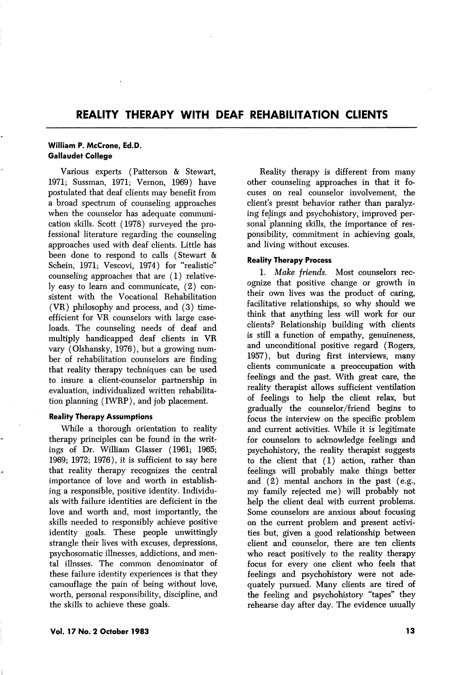# REALITY THERAPY WITH DEAF REHABILITATION CLIENTS

## William P. McCrone, Ed.D. Gallaudet College

Various experts (Patterson & Stewart, 1971; Sussman, 1971; Vernon, 1969) have postulated that deaf clients may benefit from a broad spectrum of counseling approaches when the counselor has adequate communi cation skills. Scott (1978) surveyed the pro fessional literature regarding the counseling approaches used with deaf clients. Little has been done to respond to calls (Stewart & Schein, 1971; Vescovi, 1974) for "realistic" counseling approaches that are (1) relative ly easy to learn and communicate, (2) con sistent with the Vocational Rehabilitation (VR) philosophy and process, and (3) timeefficient for VR counselors with large case loads. The counseling needs of deaf and multiply handicapped deaf clients in VR vary (Olshansky, 1976), but a growing num ber of rehabilitation counselors are finding that reality therapy techniques can be used to insure a client-counselor partnership in evaluation, individualized written rehabilita tion planning (IWRP), and job placement.

#### Reality Therapy Assumptions

While a thorough orientation to reality therapy principles can be found in the writ ings of Dr. William Glasser (1961; 1965; 1969; 1972; 1976), it is sufficient to say here that reality therapy recognizes the central importance of love and worth in establish ing a responsible, positive identity. Individu als with failure identities are deficient in the love and worth and, most importantly, the skills needed to responsibly achieve positive identity goals. These people unwittingly strangle their lives with excuses, depressions, psychosomatic illnesses, addictions, and men tal illnsses. The common denominator of these failure identity experiences is that they camouflage the pain of being without love, worth, personal responsibility, discipline, and the skills to achieve these goals.

Reality therapy is different from many other counseling approaches in that it fo cuses on real counselor involvement, the client's presnt behavior rather than paralyz ing felings and psychohistory, improved per sonal planning skills, the importance of res ponsibility, commitment in achieving goals, and living without excuses.

## Reality Therapy Process

1. Make friends. Most counselors rec ognize that positive change or growth in their own lives was the product of caring, facilitative relationships, so why should we think that anything less will work for our clients? Relationship building with clients is still a function of empathy, genuineness, and unconditional positive regard (Rogers, 1957), but during first interviews, many clients communicate a preoccupation with feelings and the past. With great care, the reality therapist allows sufficient ventilation of feelings to help the client relax, but gradually the counselor/friend begins to focus the interview on the specific problem and current activities. While it is legitimate for counselors to acknowledge feelings and psychohistory, the reality therapist suggests to the client that (1) action, rather than feelings will probably make things better and (2) mental anchors in the past (e.g., my family rejected me) will probably not help the client deal with current problems. Some counselors are anxious about focusing on the current problem and present activi ties but, given a good relationship between client and counselor, there are ten clients who react positively to the reality therapy focus for every one client who feels that feelings and psychohistory were not ade quately pursued. Many clients are tired of the feeling and psychohistory "tapes" they rehearse day after day. The evidence usually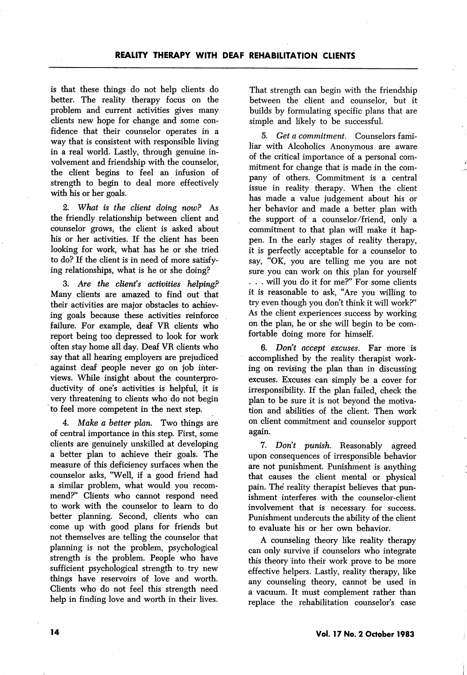is that these things do not help clients do better. The reality therapy focus on the problem and current activities gives many clients new hope for change and some con fidence that their counselor operates in a way that is consistent with responsible living in a real world. Lastly, through genuine in volvement and friendship with the counselor, the client begins to feel an infusion of strength to begin to deal more effectively with his or her goals.

2. What is the client doing now? As the friendly relationship between client and counselor grows, the client is asked about his or her activities. If the client has been looking for work, what has he or she tried to do? If the client is in need of more satisfy ing relationships, what is he or she doing?

3. Are the client's activities helping? Many clients are amazed to find out that their activities are major obstacles to achiev ing goals because these activities reinforce failure. For example, deaf VR clients who report being too depressed to look for work often stay home all day. Deaf VR clients who say that all hearing employers are prejudiced against deaf people never go on job inter views. While insight about the counterproductivity of one's activities is helpful, it is very threatening to clients who do not begin to feel more competent in the next step.

4. Make a better plan. Two things are of central importance in this step. First, some clients are genuinely unskilled at developing a better plan to achieve their goals. The measure of this deficiency surfaces when the counselor asks, "Well, if a good friend had a similar problem, what would you recom mend?" Clients who cannot respond need to work with the counselor to leam to do better planning. Second, clients who can come up with good plans for friends but not themselves are telling the counselor that planning is not the problem, psychological strength is the problem. People who have sufficient psychological strength to try new things have reservoirs of love and worth. Clients who do not feel this strength need help in finding love and worth in their lives.

That strength can begin with the friendship between the client and counselor, but it builds by formulating specific plans that are simple and likely to be successful.

5. Get a commitment. Counselors familiar with Alcoholics Anonymous are aware of the critical importance of a personal com mitment for change that is made in the com pany of others. Commitment is a central issue in reality therapy. When the client has made a value judgement about his or her behavior and made a better plan with the support of a counselor/friend, only a commitment to that plan will make it hap pen. In the early stages of reality therapy, it is perfectly acceptable for a counselor to say, "OK, you are telling me you are not sure you can work on this plan for yourself . . . will you do it for me?" For some clients it is reasonable to ask, "Are you willing to try even though you don't think it will work?" As the client experiences success by working on the plan, he or she will begin to be com fortable doing more for himself.

6. Don't accept excuses. Far more is accomplished by the reality therapist work ing on revising the plan than in discussing excuses. Excuses can simply be a cover for irresponsibility. If the plan failed, check the plan to be sure it is not beyond the motiva tion and abilities of the client. Then work on client commitment and counselor support again.

7. Don't punish. Reasonably agreed upon consequences of irresponsible behavior are not punishment. Punishment is anything that causes the client mental or physical pain. The reality therapist believes that pun ishment interferes with the counselor-client involvement that is necessary for success. Punishment undercuts the ability of the client to evaluate his or her own behavior.

A counseling theory like reality therapy can only survive if counselors who integrate this theory into their work prove to be more effective helpers. Lastly, reality therapy, like any counseling theory, cannot be used in a vacuum. It must complement rather than replace the rehabilitation counselor's case